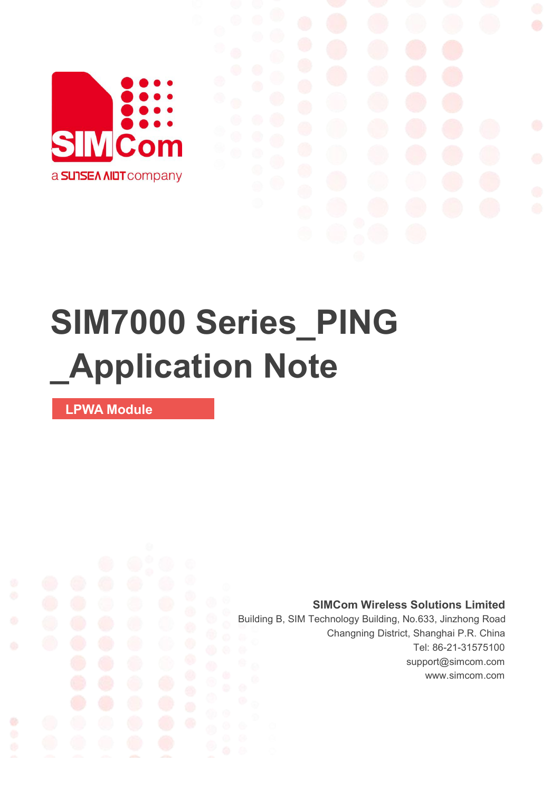

# **SIM7000 Series\_PING \_Application Note**

**LPWA Module**

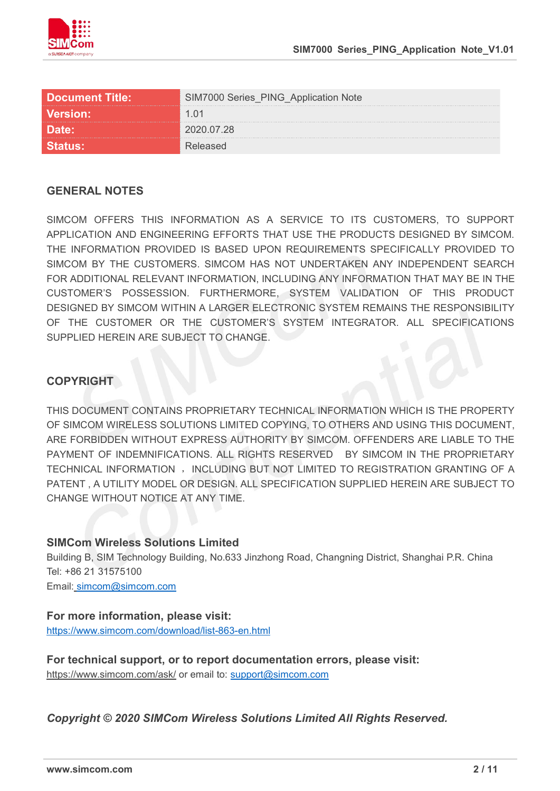

| Document Title: \ | <b>PING_Application Note</b> |  |
|-------------------|------------------------------|--|
| <b>Version:</b>   |                              |  |
|                   | )20.07.28                    |  |
|                   |                              |  |

#### **GENERAL NOTES**

SIMCOM OFFERS THIS INFORMATION AS A SERVICE TO ITS CUSTOMERS. TO SUPPORT APPLICATION AND ENGINEERING EFFORTS THAT USE THE PRODUCTS DESIGNED BY SIMCOM. THE INFORMATION PROVIDED IS BASED UPON REQUIREMENTS SPECIFICALLY PROVIDED TO SIMCOM BY THE CUSTOMERS. SIMCOM HAS NOT UNDERTAKEN ANY INDEPENDENT SEARCH FOR ADDITIONAL RELEVANT INFORMATION, INCLUDING ANY INFORMATION THAT MAY BE IN THE CUSTOMER'S POSSESSION. FURTHERMORE, SYSTEM VALIDATION OF THIS PRODUCT DESIGNED BY SIMCOM WITHIN A LARGER ELECTRONIC SYSTEM REMAINS THE RESPONSIBILITY OF THE CUSTOMER OR THE CUSTOMER'S SYSTEM INTEGRATOR. ALL SPECIFICATIONS SUPPLIED HEREIN ARE SUBJECT TO CHANGE.

#### **COPYRIGHT**

THIS DOCUMENT CONTAINS PROPRIETARY TECHNICAL INFORMATION WHICH IS THE PROPERTY OF SIMCOM WIRELESS SOLUTIONS LIMITED COPYING, TO OTHERS AND USING THIS DOCUMENT, ARE FORBIDDEN WITHOUT EXPRESS AUTHORITY BY SIMCOM. OFFENDERS ARE LIABLE TO THE PAYMENT OF INDEMNIFICATIONS. ALL RIGHTS RESERVED BY SIMCOM IN THE PROPRIETARY TECHNICAL INFORMATION , INCLUDING BUT NOT LIMITED TO REGISTRATION GRANTING OF A PATENT , A UTILITY MODEL OR DESIGN. ALL SPECIFICATION SUPPLIED HEREIN ARE SUBJECT TO CHANGE WITHOUT NOTICE AT ANY TIME.

#### **SIMCom Wireless Solutions Limited**

Building B, SIM Technology Building, No.633 Jinzhong Road, Changning District, Shanghai P.R. China Tel: +86 21 31575100

Email: [simcom@simcom.com](mailto:simcom@simcom.com)

#### **For more information, please visit:**

<https://www.simcom.com/download/list-863-en.html>

**For technical support, or to report documentation errors, please visit:** https://www.simcom.com/ask/ or email to: [support@simcom.com](mailto:support@simcom.com)

*Copyright © 2020 SIMCom Wireless Solutions Limited All Rights Reserved.*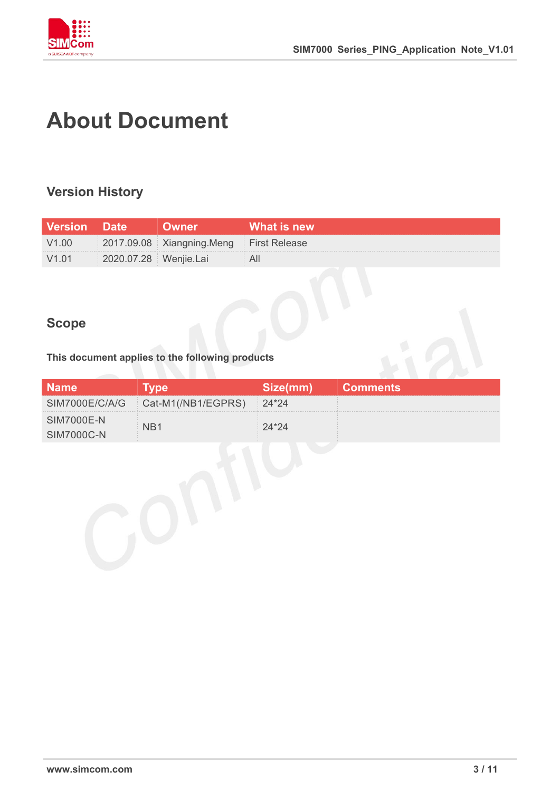

# <span id="page-2-0"></span>**About Document**

### <span id="page-2-1"></span>**Version History**

| <b>Version Date</b> |                       | <b>Jwner</b> '                          | What is new |
|---------------------|-----------------------|-----------------------------------------|-------------|
| V1.00               |                       | 2017.09.08 Xiangning.Meng First Release |             |
| V1.01               | 2020.07.28 Wenjie.Lai |                                         |             |

### <span id="page-2-2"></span>**Scope**

# **This document applies to the following products**

|                                |                                     |         | Comments |
|--------------------------------|-------------------------------------|---------|----------|
|                                | SIM7000E/C/A/G   Cat-M1(/NB1/EGPRS) | $24*24$ |          |
| <b>SIM7000E-N</b><br>IMZ000C-N |                                     |         |          |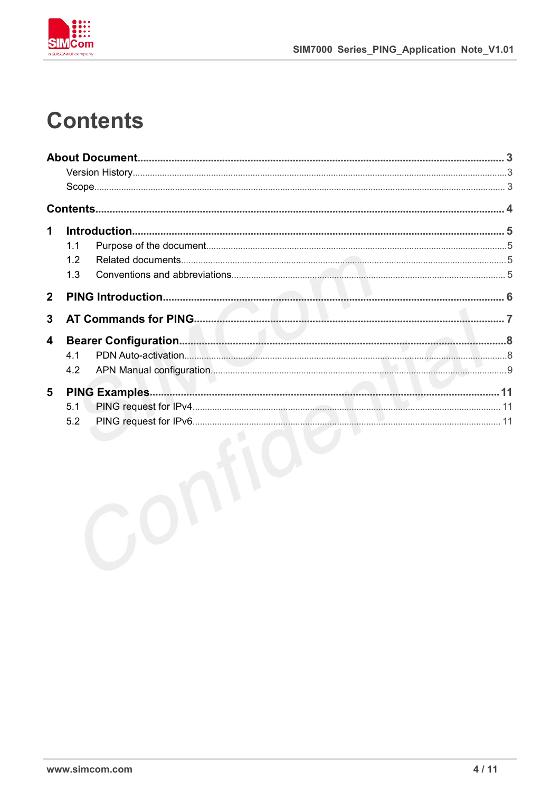

# <span id="page-3-0"></span>**Contents**

| 1              |     |  |
|----------------|-----|--|
|                | 1.1 |  |
|                | 1.2 |  |
|                | 1.3 |  |
| $\overline{2}$ |     |  |
| 3              |     |  |
| 4              |     |  |
|                | 4.1 |  |
|                | 4.2 |  |
| 5              |     |  |
|                | 5.1 |  |
|                | 5.2 |  |
|                |     |  |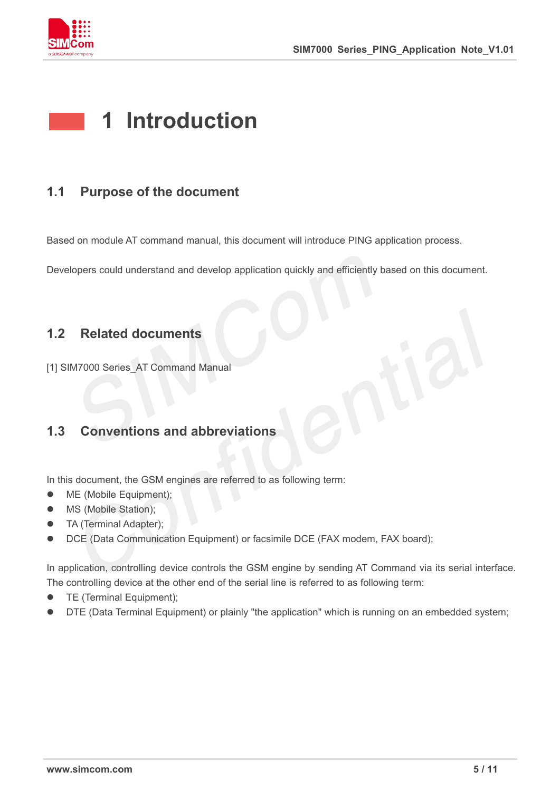

# <span id="page-4-0"></span>**1 Introduction**

### <span id="page-4-1"></span>**1.1 Purpose of the document**

Based on module AT command manual, this document will introduce PING application process.

Developers could understand and develop application quickly and efficiently based on this document.

#### <span id="page-4-2"></span>**1.2 Related documents**

[1] SIM7000 Series\_AT Command Manual

### <span id="page-4-3"></span>**1.3 Conventions and abbreviations**

In this document, the GSM engines are referred to as following term:

- ME (Mobile Equipment);
- MS (Mobile Station);
- **•** TA (Terminal Adapter);
- DCE (Data Communication Equipment) or facsimile DCE (FAX modem, FAX board);

In application, controlling device controls the GSM engine by sending AT Command via its serial interface. The controlling device at the other end of the serial line is referred to as following term:

- **•** TE (Terminal Equipment);
- DTE (Data Terminal Equipment) or plainly "the application" which is running on an embedded system;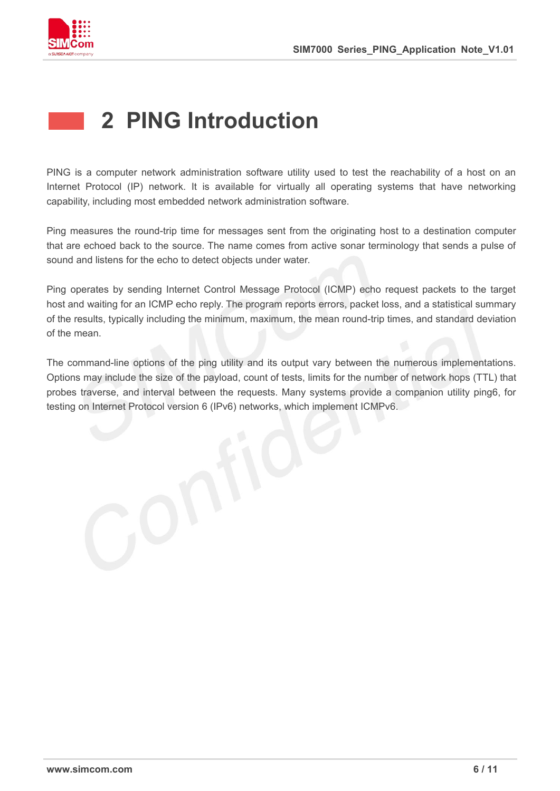

# <span id="page-5-0"></span>**2 PING Introduction**

PING is a computer network administration software utility used to test the reachability of a host on an Internet Protocol (IP) network. It is available for virtually all operating systems that have networking capability, including most embedded network administration software.

Ping measures the round-trip time for messages sent from the originating host to a destination computer that are echoed back to the source. The name comes from active sonar terminology that sends a pulse of sound and listens for the echo to detect objects under water.

Ping operates by sending Internet Control Message Protocol (ICMP) echo request packets to the target host and waiting for an ICMP echo reply. The program reports errors, packet loss, and a statistical summary of the results, typically including the minimum, maximum, the mean round-trip times, and standard deviation of the mean.

The command-line options of the ping utility and its output vary between the numerous implementations. Options may include the size of the payload, count of tests, limits for the number of network hops (TTL) that probes traverse, and interval between the requests. Many systems provide a companion utility ping6, for testing on Internet Protocol version 6 (IPv6) networks, which implement ICMPv6.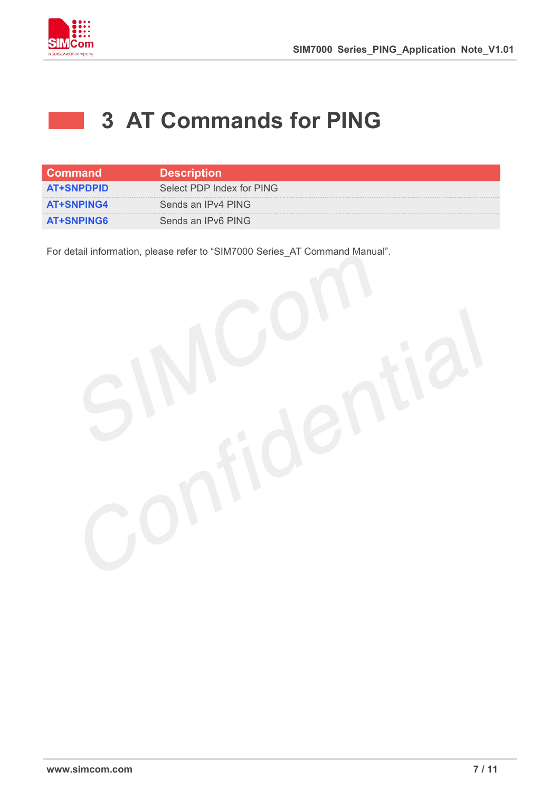

## <span id="page-6-0"></span>**3 AT Commands for PING**

| <b>Command</b>    | <b>Description</b>        |
|-------------------|---------------------------|
| <b>AT+SNPDPID</b> | Select PDP Index for PING |
| <b>AT+SNPING4</b> | Sends an IPv4 PING        |
| <b>AT+SNPING6</b> | Sends an IPv6 PING        |

For detail information, please refer to "SIM7000 Series\_AT Command Manual".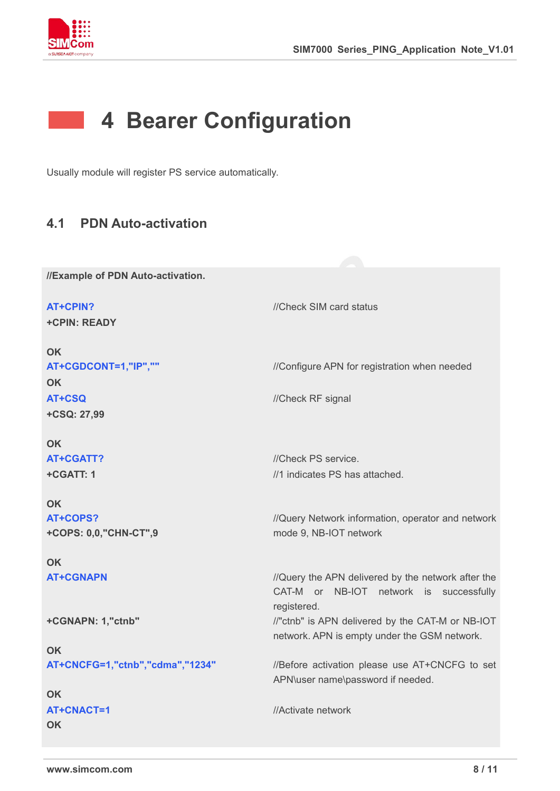

# <span id="page-7-0"></span>**4 Bearer Configuration**

Usually module will register PS service automatically.

#### <span id="page-7-1"></span>**4.1 PDN Auto-activation**

**//Example of PDN Auto-activation.**

**AT+CPIN?** *//Check SIM card status* **+CPIN: READY OK AT+CGDCONT=1,"IP",""** //Configure APN for registration when needed **OK AT+CSQ** //Check RF signal **+CSQ: 27,99 OK AT+CGATT?** //Check PS service. **+CGATT: 1 OK** //1 indicates PS has attached. **AT+COPS? +COPS: 0,0,"CHN-CT",9 OK** //Query Network information, operator and network mode 9, NB-IOT network **AT+CGNAPN** *//Query the APN delivered by the network after the* CAT-M or NB-IOT network is successfully registered. **+CGNAPN: 1,"ctnb" OK** //"ctnb" is APN delivered by the CAT-M or NB-IOT network. APN is empty under the GSM network. **AT+CNCFG=1,"ctnb","cdma","1234"** //Before activation please use AT+CNCFG to set APN\user name\password if needed. **OK AT+CNACT=1 OK** //Activate network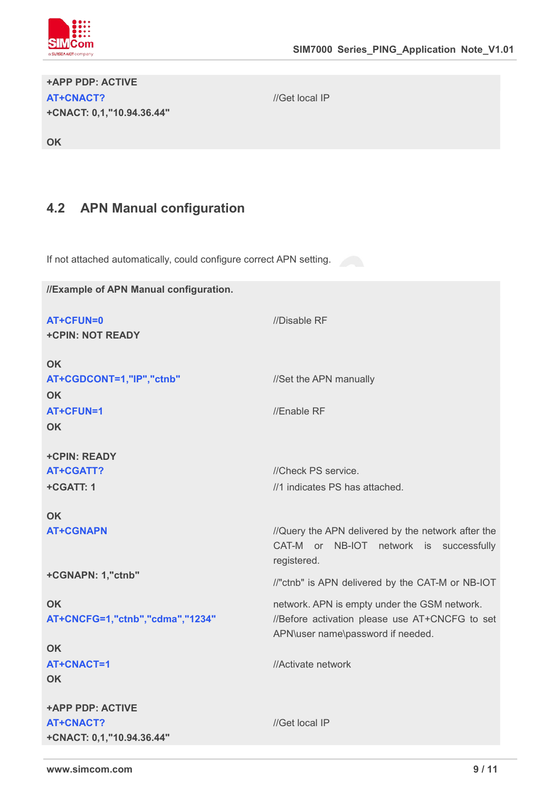

#### **+APP PDP: ACTIVE AT+CNACT? +CNACT: 0,1,"10.94.36.44"**

//Get local IP

**OK**

### <span id="page-8-0"></span>**4.2 APN Manual configuration**

If not attached automatically, could configure correct APN setting.

| //Example of APN Manual configuration. |                                                                                                              |
|----------------------------------------|--------------------------------------------------------------------------------------------------------------|
| AT+CFUN=0<br><b>+CPIN: NOT READY</b>   | //Disable RF                                                                                                 |
| <b>OK</b>                              |                                                                                                              |
| AT+CGDCONT=1,"IP","ctnb"               | //Set the APN manually                                                                                       |
| <b>OK</b>                              |                                                                                                              |
| <b>AT+CFUN=1</b>                       | //Enable RF                                                                                                  |
| <b>OK</b>                              |                                                                                                              |
| +CPIN: READY                           |                                                                                                              |
| <b>AT+CGATT?</b>                       | //Check PS service.                                                                                          |
| +CGATT: 1                              | //1 indicates PS has attached.                                                                               |
| <b>OK</b>                              |                                                                                                              |
| <b>AT+CGNAPN</b>                       | //Query the APN delivered by the network after the<br>CAT-M or NB-IOT network is successfully<br>registered. |
| +CGNAPN: 1,"ctnb"                      | //"ctnb" is APN delivered by the CAT-M or NB-IOT                                                             |
| <b>OK</b>                              | network. APN is empty under the GSM network.                                                                 |
| AT+CNCFG=1,"ctnb","cdma","1234"        | //Before activation please use AT+CNCFG to set<br>APN\user name\password if needed.                          |
| <b>OK</b>                              |                                                                                                              |
| AT+CNACT=1                             | //Activate network                                                                                           |
| <b>OK</b>                              |                                                                                                              |
| <b>+APP PDP: ACTIVE</b>                |                                                                                                              |
| <b>AT+CNACT?</b>                       | //Get local IP                                                                                               |
| +CNACT: 0,1,"10.94.36.44"              |                                                                                                              |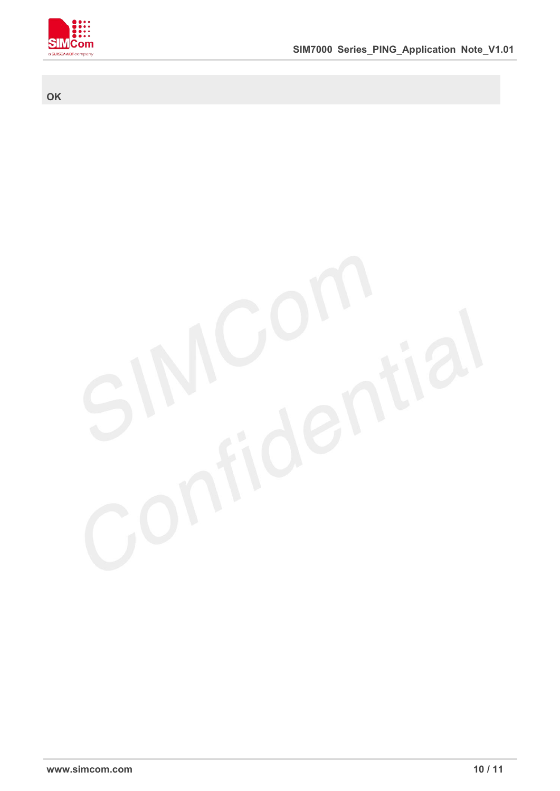

#### **OK**